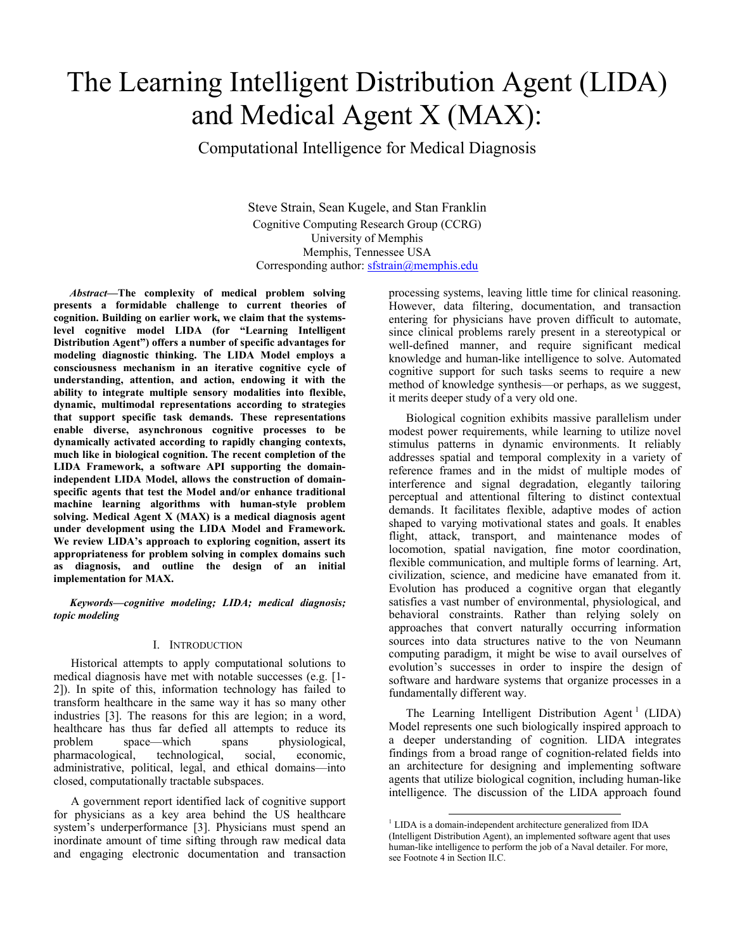# The Learning Intelligent Distribution Agent (LIDA) and Medical Agent X (MAX):

Computational Intelligence for Medical Diagnosis

Steve Strain, Sean Kugele, and Stan Franklin Cognitive Computing Research Group (CCRG) University of Memphis Memphis, Tennessee USA Corresponding author: sfstrain@memphis.edu

*Abstract***—The complexity of medical problem solving presents a formidable challenge to current theories of cognition. Building on earlier work, we claim that the systemslevel cognitive model LIDA (for "Learning Intelligent Distribution Agent") offers a number of specific advantages for modeling diagnostic thinking. The LIDA Model employs a consciousness mechanism in an iterative cognitive cycle of understanding, attention, and action, endowing it with the ability to integrate multiple sensory modalities into flexible, dynamic, multimodal representations according to strategies that support specific task demands. These representations enable diverse, asynchronous cognitive processes to be dynamically activated according to rapidly changing contexts, much like in biological cognition. The recent completion of the LIDA Framework, a software API supporting the domainindependent LIDA Model, allows the construction of domainspecific agents that test the Model and/or enhance traditional machine learning algorithms with human-style problem solving. Medical Agent X (MAX) is a medical diagnosis agent under development using the LIDA Model and Framework. We review LIDA's approach to exploring cognition, assert its appropriateness for problem solving in complex domains such as diagnosis, and outline the design of an initial implementation for MAX.**

*Keywords—cognitive modeling; LIDA; medical diagnosis; topic modeling* 

### I. INTRODUCTION

Historical attempts to apply computational solutions to medical diagnosis have met with notable successes (e.g. [1- 2]). In spite of this, information technology has failed to transform healthcare in the same way it has so many other industries [3]. The reasons for this are legion; in a word, healthcare has thus far defied all attempts to reduce its problem space—which spans physiological, pharmacological, technological, social, economic, administrative, political, legal, and ethical domains—into closed, computationally tractable subspaces.

A government report identified lack of cognitive support for physicians as a key area behind the US healthcare system's underperformance [3]. Physicians must spend an inordinate amount of time sifting through raw medical data and engaging electronic documentation and transaction processing systems, leaving little time for clinical reasoning. However, data filtering, documentation, and transaction entering for physicians have proven difficult to automate, since clinical problems rarely present in a stereotypical or well-defined manner, and require significant medical knowledge and human-like intelligence to solve. Automated cognitive support for such tasks seems to require a new method of knowledge synthesis—or perhaps, as we suggest, it merits deeper study of a very old one.

Biological cognition exhibits massive parallelism under modest power requirements, while learning to utilize novel stimulus patterns in dynamic environments. It reliably addresses spatial and temporal complexity in a variety of reference frames and in the midst of multiple modes of interference and signal degradation, elegantly tailoring perceptual and attentional filtering to distinct contextual demands. It facilitates flexible, adaptive modes of action shaped to varying motivational states and goals. It enables flight, attack, transport, and maintenance modes of locomotion, spatial navigation, fine motor coordination, flexible communication, and multiple forms of learning. Art, civilization, science, and medicine have emanated from it. Evolution has produced a cognitive organ that elegantly satisfies a vast number of environmental, physiological, and behavioral constraints. Rather than relying solely on approaches that convert naturally occurring information sources into data structures native to the von Neumann computing paradigm, it might be wise to avail ourselves of evolution's successes in order to inspire the design of software and hardware systems that organize processes in a fundamentally different way.

The Learning Intelligent Distribution Agent<sup>1</sup> (LIDA) Model represents one such biologically inspired approach to a deeper understanding of cognition. LIDA integrates findings from a broad range of cognition-related fields into an architecture for designing and implementing software agents that utilize biological cognition, including human-like intelligence. The discussion of the LIDA approach found

<sup>&</sup>lt;sup>1</sup> LIDA is a domain-independent architecture generalized from IDA (Intelligent Distribution Agent), an implemented software agent that uses human-like intelligence to perform the job of a Naval detailer. For more, see Footnote 4 in Section II.C.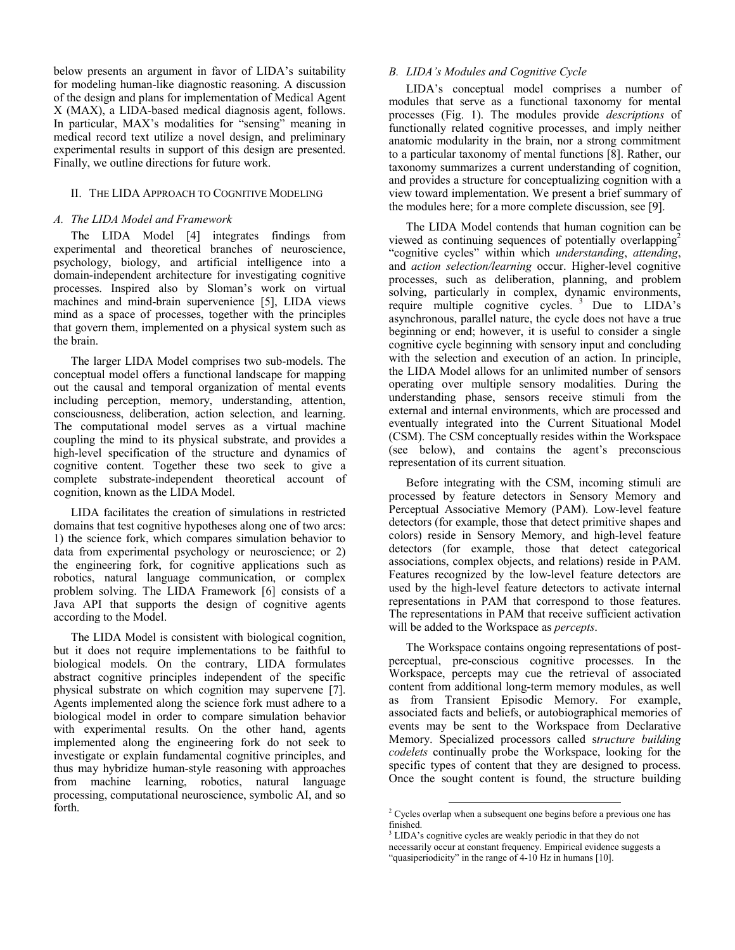below presents an argument in favor of LIDA's suitability for modeling human-like diagnostic reasoning. A discussion of the design and plans for implementation of Medical Agent X (MAX), a LIDA-based medical diagnosis agent, follows. In particular, MAX's modalities for "sensing" meaning in medical record text utilize a novel design, and preliminary experimental results in support of this design are presented. Finally, we outline directions for future work.

# II. THE LIDA APPROACH TO COGNITIVE MODELING

## *A. The LIDA Model and Framework*

The LIDA Model [4] integrates findings from experimental and theoretical branches of neuroscience, psychology, biology, and artificial intelligence into a domain-independent architecture for investigating cognitive processes. Inspired also by Sloman's work on virtual machines and mind-brain supervenience [5], LIDA views mind as a space of processes, together with the principles that govern them, implemented on a physical system such as the brain.

The larger LIDA Model comprises two sub-models. The conceptual model offers a functional landscape for mapping out the causal and temporal organization of mental events including perception, memory, understanding, attention, consciousness, deliberation, action selection, and learning. The computational model serves as a virtual machine coupling the mind to its physical substrate, and provides a high-level specification of the structure and dynamics of cognitive content. Together these two seek to give a complete substrate-independent theoretical account of cognition, known as the LIDA Model.

LIDA facilitates the creation of simulations in restricted domains that test cognitive hypotheses along one of two arcs: 1) the science fork, which compares simulation behavior to data from experimental psychology or neuroscience; or 2) the engineering fork, for cognitive applications such as robotics, natural language communication, or complex problem solving. The LIDA Framework [6] consists of a Java API that supports the design of cognitive agents according to the Model.

The LIDA Model is consistent with biological cognition, but it does not require implementations to be faithful to biological models. On the contrary, LIDA formulates abstract cognitive principles independent of the specific physical substrate on which cognition may supervene [7]. Agents implemented along the science fork must adhere to a biological model in order to compare simulation behavior with experimental results. On the other hand, agents implemented along the engineering fork do not seek to investigate or explain fundamental cognitive principles, and thus may hybridize human-style reasoning with approaches from machine learning, robotics, natural language processing, computational neuroscience, symbolic AI, and so forth.

## *B. LIDA's Modules and Cognitive Cycle*

LIDA's conceptual model comprises a number of modules that serve as a functional taxonomy for mental processes (Fig. 1). The modules provide *descriptions* of functionally related cognitive processes, and imply neither anatomic modularity in the brain, nor a strong commitment to a particular taxonomy of mental functions [8]. Rather, our taxonomy summarizes a current understanding of cognition, and provides a structure for conceptualizing cognition with a view toward implementation. We present a brief summary of the modules here; for a more complete discussion, see [9].

The LIDA Model contends that human cognition can be viewed as continuing sequences of potentially overlapping<sup>2</sup> "cognitive cycles" within which *understanding*, *attending*, and *action selection/learning* occur. Higher-level cognitive processes, such as deliberation, planning, and problem solving, particularly in complex, dynamic environments, require multiple cognitive cycles. 3 Due to LIDA's asynchronous, parallel nature, the cycle does not have a true beginning or end; however, it is useful to consider a single cognitive cycle beginning with sensory input and concluding with the selection and execution of an action. In principle, the LIDA Model allows for an unlimited number of sensors operating over multiple sensory modalities. During the understanding phase, sensors receive stimuli from the external and internal environments, which are processed and eventually integrated into the Current Situational Model (CSM). The CSM conceptually resides within the Workspace (see below), and contains the agent's preconscious representation of its current situation.

Before integrating with the CSM, incoming stimuli are processed by feature detectors in Sensory Memory and Perceptual Associative Memory (PAM). Low-level feature detectors (for example, those that detect primitive shapes and colors) reside in Sensory Memory, and high-level feature detectors (for example, those that detect categorical associations, complex objects, and relations) reside in PAM. Features recognized by the low-level feature detectors are used by the high-level feature detectors to activate internal representations in PAM that correspond to those features. The representations in PAM that receive sufficient activation will be added to the Workspace as *percepts*.

The Workspace contains ongoing representations of postperceptual, pre-conscious cognitive processes. In the Workspace, percepts may cue the retrieval of associated content from additional long-term memory modules, as well as from Transient Episodic Memory. For example, associated facts and beliefs, or autobiographical memories of events may be sent to the Workspace from Declarative Memory. Specialized processors called s*tructure building codelets* continually probe the Workspace, looking for the specific types of content that they are designed to process. Once the sought content is found, the structure building

<sup>&</sup>lt;sup>2</sup> Cycles overlap when a subsequent one begins before a previous one has finished.

<sup>&</sup>lt;sup>3</sup> LIDA's cognitive cycles are weakly periodic in that they do not necessarily occur at constant frequency. Empirical evidence suggests a "quasiperiodicity" in the range of 4-10 Hz in humans [10].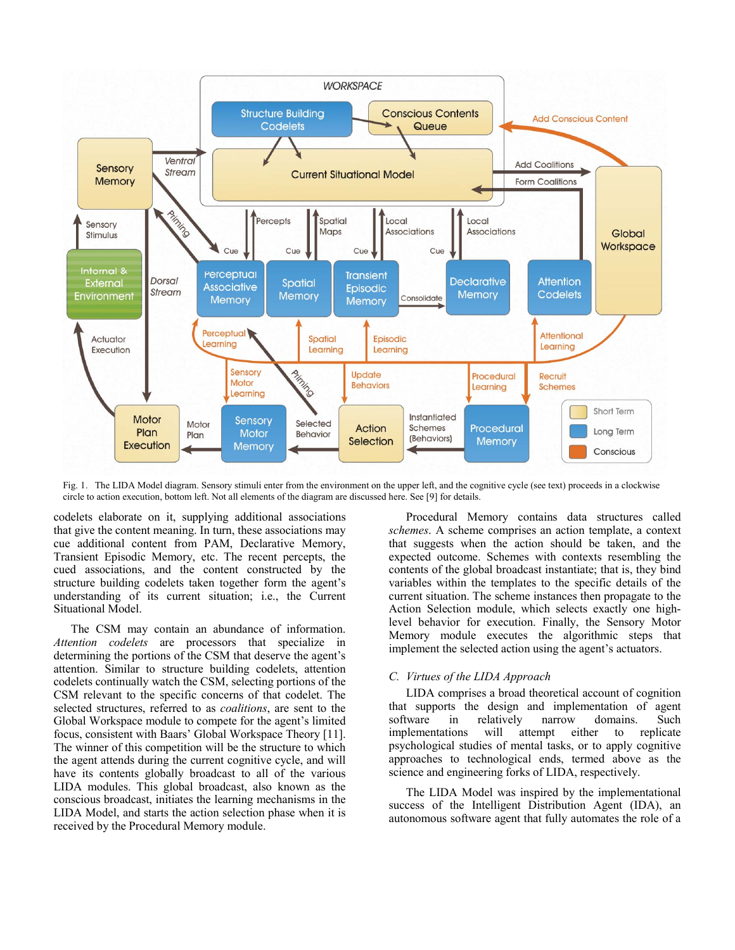

Fig. 1. The LIDA Model diagram. Sensory stimuli enter from the environment on the upper left, and the cognitive cycle (see text) proceeds in a clockwise circle to action execution, bottom left. Not all elements of the diagram are discussed here. See [9] for details.

codelets elaborate on it, supplying additional associations that give the content meaning. In turn, these associations may cue additional content from PAM, Declarative Memory, Transient Episodic Memory, etc. The recent percepts, the cued associations, and the content constructed by the structure building codelets taken together form the agent's understanding of its current situation; i.e., the Current Situational Model.

The CSM may contain an abundance of information. *Attention codelets* are processors that specialize in determining the portions of the CSM that deserve the agent's attention. Similar to structure building codelets, attention codelets continually watch the CSM, selecting portions of the CSM relevant to the specific concerns of that codelet. The selected structures, referred to as *coalitions*, are sent to the Global Workspace module to compete for the agent's limited focus, consistent with Baars' Global Workspace Theory [11]. The winner of this competition will be the structure to which the agent attends during the current cognitive cycle, and will have its contents globally broadcast to all of the various LIDA modules. This global broadcast, also known as the conscious broadcast, initiates the learning mechanisms in the LIDA Model, and starts the action selection phase when it is received by the Procedural Memory module.

Procedural Memory contains data structures called *schemes*. A scheme comprises an action template, a context that suggests when the action should be taken, and the expected outcome. Schemes with contexts resembling the contents of the global broadcast instantiate; that is, they bind variables within the templates to the specific details of the current situation. The scheme instances then propagate to the Action Selection module, which selects exactly one highlevel behavior for execution. Finally, the Sensory Motor Memory module executes the algorithmic steps that implement the selected action using the agent's actuators.

# *C. Virtues of the LIDA Approach*

LIDA comprises a broad theoretical account of cognition that supports the design and implementation of agent software in relatively narrow domains. Such in relatively narrow domains. Such implementations will attempt either to replicate psychological studies of mental tasks, or to apply cognitive approaches to technological ends, termed above as the science and engineering forks of LIDA, respectively.

The LIDA Model was inspired by the implementational success of the Intelligent Distribution Agent (IDA), an autonomous software agent that fully automates the role of a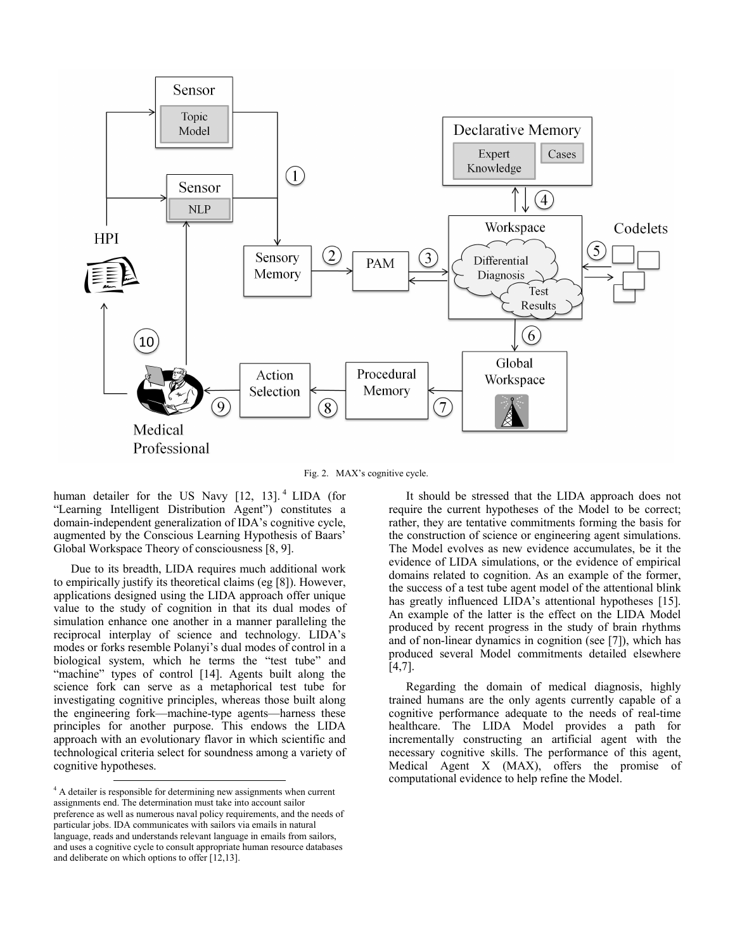

Fig. 2. MAX's cognitive cycle.

human detailer for the US Navy  $[12, 13]$ .<sup>4</sup> LIDA (for "Learning Intelligent Distribution Agent") constitutes a domain-independent generalization of IDA's cognitive cycle, augmented by the Conscious Learning Hypothesis of Baars' Global Workspace Theory of consciousness [8, 9].

Due to its breadth, LIDA requires much additional work to empirically justify its theoretical claims (eg [8]). However, applications designed using the LIDA approach offer unique value to the study of cognition in that its dual modes of simulation enhance one another in a manner paralleling the reciprocal interplay of science and technology. LIDA's modes or forks resemble Polanyi's dual modes of control in a biological system, which he terms the "test tube" and "machine" types of control [14]. Agents built along the science fork can serve as a metaphorical test tube for investigating cognitive principles, whereas those built along the engineering fork—machine-type agents—harness these principles for another purpose. This endows the LIDA approach with an evolutionary flavor in which scientific and technological criteria select for soundness among a variety of cognitive hypotheses.

It should be stressed that the LIDA approach does not require the current hypotheses of the Model to be correct; rather, they are tentative commitments forming the basis for the construction of science or engineering agent simulations. The Model evolves as new evidence accumulates, be it the evidence of LIDA simulations, or the evidence of empirical domains related to cognition. As an example of the former, the success of a test tube agent model of the attentional blink has greatly influenced LIDA's attentional hypotheses [15]. An example of the latter is the effect on the LIDA Model produced by recent progress in the study of brain rhythms and of non-linear dynamics in cognition (see [7]), which has produced several Model commitments detailed elsewhere  $[4, 7]$ .

Regarding the domain of medical diagnosis, highly trained humans are the only agents currently capable of a cognitive performance adequate to the needs of real-time healthcare. The LIDA Model provides a path for incrementally constructing an artificial agent with the necessary cognitive skills. The performance of this agent, Medical Agent X (MAX), offers the promise of computational evidence to help refine the Model.

 <sup>4</sup> A detailer is responsible for determining new assignments when current assignments end. The determination must take into account sailor preference as well as numerous naval policy requirements, and the needs of particular jobs. IDA communicates with sailors via emails in natural language, reads and understands relevant language in emails from sailors, and uses a cognitive cycle to consult appropriate human resource databases and deliberate on which options to offer [12,13].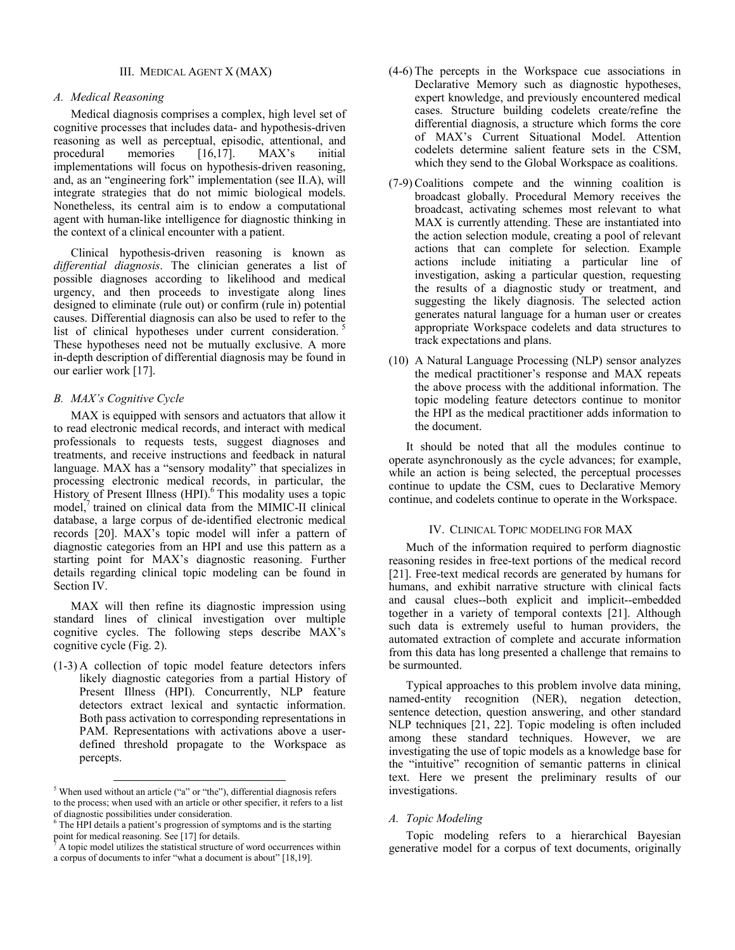# III. MEDICAL AGENT X (MAX)

# *A. Medical Reasoning*

Medical diagnosis comprises a complex, high level set of cognitive processes that includes data- and hypothesis-driven reasoning as well as perceptual, episodic, attentional, and procedural memories [16,17]. MAX's initial implementations will focus on hypothesis-driven reasoning, and, as an "engineering fork" implementation (see II.A), will integrate strategies that do not mimic biological models. Nonetheless, its central aim is to endow a computational agent with human-like intelligence for diagnostic thinking in the context of a clinical encounter with a patient.

Clinical hypothesis-driven reasoning is known as *differential diagnosis*. The clinician generates a list of possible diagnoses according to likelihood and medical urgency, and then proceeds to investigate along lines designed to eliminate (rule out) or confirm (rule in) potential causes. Differential diagnosis can also be used to refer to the list of clinical hypotheses under current consideration.<sup>5</sup> These hypotheses need not be mutually exclusive. A more in-depth description of differential diagnosis may be found in our earlier work [17].

# *B. MAX's Cognitive Cycle*

MAX is equipped with sensors and actuators that allow it to read electronic medical records, and interact with medical professionals to requests tests, suggest diagnoses and treatments, and receive instructions and feedback in natural language. MAX has a "sensory modality" that specializes in processing electronic medical records, in particular, the History of Present Illness (HPI).<sup>6</sup> This modality uses a topic model, $\bar{7}$  trained on clinical data from the MIMIC-II clinical database, a large corpus of de-identified electronic medical records [20]. MAX's topic model will infer a pattern of diagnostic categories from an HPI and use this pattern as a starting point for MAX's diagnostic reasoning. Further details regarding clinical topic modeling can be found in Section IV.

MAX will then refine its diagnostic impression using standard lines of clinical investigation over multiple cognitive cycles. The following steps describe MAX's cognitive cycle (Fig. 2).

(1-3) A collection of topic model feature detectors infers likely diagnostic categories from a partial History of Present Illness (HPI). Concurrently, NLP feature detectors extract lexical and syntactic information. Both pass activation to corresponding representations in PAM. Representations with activations above a userdefined threshold propagate to the Workspace as percepts.

- (4-6) The percepts in the Workspace cue associations in Declarative Memory such as diagnostic hypotheses, expert knowledge, and previously encountered medical cases. Structure building codelets create/refine the differential diagnosis, a structure which forms the core of MAX's Current Situational Model. Attention codelets determine salient feature sets in the CSM, which they send to the Global Workspace as coalitions.
- (7-9) Coalitions compete and the winning coalition is broadcast globally. Procedural Memory receives the broadcast, activating schemes most relevant to what MAX is currently attending. These are instantiated into the action selection module, creating a pool of relevant actions that can complete for selection. Example actions include initiating a particular line of investigation, asking a particular question, requesting the results of a diagnostic study or treatment, and suggesting the likely diagnosis. The selected action generates natural language for a human user or creates appropriate Workspace codelets and data structures to track expectations and plans.
- (10) A Natural Language Processing (NLP) sensor analyzes the medical practitioner's response and MAX repeats the above process with the additional information. The topic modeling feature detectors continue to monitor the HPI as the medical practitioner adds information to the document.

It should be noted that all the modules continue to operate asynchronously as the cycle advances; for example, while an action is being selected, the perceptual processes continue to update the CSM, cues to Declarative Memory continue, and codelets continue to operate in the Workspace.

# IV. CLINICAL TOPIC MODELING FOR MAX

Much of the information required to perform diagnostic reasoning resides in free-text portions of the medical record [21]. Free-text medical records are generated by humans for humans, and exhibit narrative structure with clinical facts and causal clues--both explicit and implicit--embedded together in a variety of temporal contexts [21]. Although such data is extremely useful to human providers, the automated extraction of complete and accurate information from this data has long presented a challenge that remains to be surmounted.

Typical approaches to this problem involve data mining, named-entity recognition (NER), negation detection, sentence detection, question answering, and other standard NLP techniques [21, 22]. Topic modeling is often included among these standard techniques. However, we are investigating the use of topic models as a knowledge base for the "intuitive" recognition of semantic patterns in clinical text. Here we present the preliminary results of our investigations.

## *A. Topic Modeling*

Topic modeling refers to a hierarchical Bayesian generative model for a corpus of text documents, originally

 <sup>5</sup> When used without an article ("a" or "the"), differential diagnosis refers to the process; when used with an article or other specifier, it refers to a list of diagnostic possibilities under consideration.

<sup>&</sup>lt;sup>6</sup> The HPI details a patient's progression of symptoms and is the starting point for medical reasoning. See [17] for details.

<sup>7</sup> A topic model utilizes the statistical structure of word occurrences within a corpus of documents to infer "what a document is about" [18,19].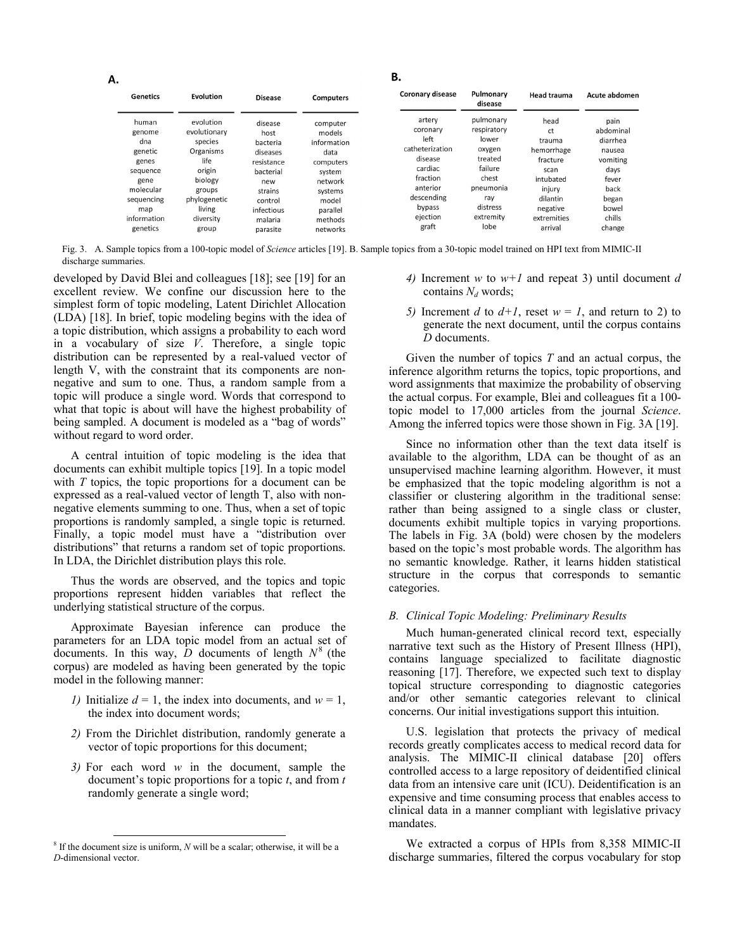|  |                                                                                                                             |                                                                                                                                          |                                                                                                                                      |                                                                                                                                    | в.                                                                                                                                       |                                                                                                                                 |                                                                                                                                 |                                                                                                                    |
|--|-----------------------------------------------------------------------------------------------------------------------------|------------------------------------------------------------------------------------------------------------------------------------------|--------------------------------------------------------------------------------------------------------------------------------------|------------------------------------------------------------------------------------------------------------------------------------|------------------------------------------------------------------------------------------------------------------------------------------|---------------------------------------------------------------------------------------------------------------------------------|---------------------------------------------------------------------------------------------------------------------------------|--------------------------------------------------------------------------------------------------------------------|
|  | <b>Genetics</b>                                                                                                             | Evolution                                                                                                                                | <b>Disease</b>                                                                                                                       | <b>Computers</b>                                                                                                                   | <b>Coronary disease</b>                                                                                                                  | Pulmonary<br>disease                                                                                                            | <b>Head trauma</b>                                                                                                              | Acute abdomen                                                                                                      |
|  | human<br>genome<br>dna<br>genetic<br>genes<br>sequence<br>gene<br>molecular<br>sequencing<br>map<br>information<br>genetics | evolution<br>evolutionary<br>species<br>Organisms<br>life<br>origin<br>biology<br>groups<br>phylogenetic<br>living<br>diversity<br>group | disease<br>host<br>bacteria<br>diseases<br>resistance<br>bacterial<br>new<br>strains<br>control<br>infectious<br>malaria<br>parasite | computer<br>models<br>information<br>data<br>computers<br>system<br>network<br>systems<br>model<br>parallel<br>methods<br>networks | artery<br>coronary<br>left<br>catheterization<br>disease<br>cardiac<br>fraction<br>anterior<br>descending<br>bypass<br>ejection<br>graft | pulmonary<br>respiratory<br>lower<br>oxygen<br>treated<br>failure<br>chest<br>pneumonia<br>rav<br>distress<br>extremity<br>lobe | head<br>ct<br>trauma<br>hemorrhage<br>fracture<br>scan<br>intubated<br>injury<br>dilantin<br>negative<br>extremities<br>arrival | pain<br>abdominal<br>diarrhea<br>nausea<br>vomiting<br>days<br>fever<br>back<br>began<br>bowel<br>chills<br>change |
|  |                                                                                                                             |                                                                                                                                          |                                                                                                                                      |                                                                                                                                    |                                                                                                                                          |                                                                                                                                 |                                                                                                                                 |                                                                                                                    |

Fig. 3. A. Sample topics from a 100-topic model of *Science* articles [19]. B. Sample topics from a 30-topic model trained on HPI text from MIMIC-II discharge summaries.

developed by David Blei and colleagues [18]; see [19] for an excellent review. We confine our discussion here to the simplest form of topic modeling, Latent Dirichlet Allocation (LDA) [18]. In brief, topic modeling begins with the idea of a topic distribution, which assigns a probability to each word in a vocabulary of size *V*. Therefore, a single topic distribution can be represented by a real-valued vector of length V, with the constraint that its components are nonnegative and sum to one. Thus, a random sample from a topic will produce a single word. Words that correspond to what that topic is about will have the highest probability of being sampled. A document is modeled as a "bag of words" without regard to word order.

A central intuition of topic modeling is the idea that documents can exhibit multiple topics [19]. In a topic model with *T* topics, the topic proportions for a document can be expressed as a real-valued vector of length T, also with nonnegative elements summing to one. Thus, when a set of topic proportions is randomly sampled, a single topic is returned. Finally, a topic model must have a "distribution over distributions" that returns a random set of topic proportions. In LDA, the Dirichlet distribution plays this role.

Thus the words are observed, and the topics and topic proportions represent hidden variables that reflect the underlying statistical structure of the corpus.

Approximate Bayesian inference can produce the parameters for an LDA topic model from an actual set of documents. In this way, *D* documents of length  $N^8$  (the corpus) are modeled as having been generated by the topic model in the following manner:

- *1)* Initialize  $d = 1$ , the index into documents, and  $w = 1$ , the index into document words;
- *2)* From the Dirichlet distribution, randomly generate a vector of topic proportions for this document;
- *3)* For each word *w* in the document, sample the document's topic proportions for a topic *t*, and from *t* randomly generate a single word;
- *4)* Increment *w* to *w+1* and repeat 3) until document *d* contains  $N_d$  words;
- *5)* Increment *d* to  $d+1$ , reset  $w = 1$ , and return to 2) to generate the next document, until the corpus contains *D* documents.

Given the number of topics *T* and an actual corpus, the inference algorithm returns the topics, topic proportions, and word assignments that maximize the probability of observing the actual corpus. For example, Blei and colleagues fit a 100 topic model to 17,000 articles from the journal *Science*. Among the inferred topics were those shown in Fig. 3A [19].

Since no information other than the text data itself is available to the algorithm, LDA can be thought of as an unsupervised machine learning algorithm. However, it must be emphasized that the topic modeling algorithm is not a classifier or clustering algorithm in the traditional sense: rather than being assigned to a single class or cluster, documents exhibit multiple topics in varying proportions. The labels in Fig. 3A (bold) were chosen by the modelers based on the topic's most probable words. The algorithm has no semantic knowledge. Rather, it learns hidden statistical structure in the corpus that corresponds to semantic categories.

### *B. Clinical Topic Modeling: Preliminary Results*

Much human-generated clinical record text, especially narrative text such as the History of Present Illness (HPI), contains language specialized to facilitate diagnostic reasoning [17]. Therefore, we expected such text to display topical structure corresponding to diagnostic categories and/or other semantic categories relevant to clinical concerns. Our initial investigations support this intuition.

U.S. legislation that protects the privacy of medical records greatly complicates access to medical record data for analysis. The MIMIC-II clinical database [20] offers controlled access to a large repository of deidentified clinical data from an intensive care unit (ICU). Deidentification is an expensive and time consuming process that enables access to clinical data in a manner compliant with legislative privacy mandates.

We extracted a corpus of HPIs from 8,358 MIMIC-II discharge summaries, filtered the corpus vocabulary for stop

<sup>&</sup>lt;sup>8</sup> If the document size is uniform, *N* will be a scalar; otherwise, it will be a *D*-dimensional vector.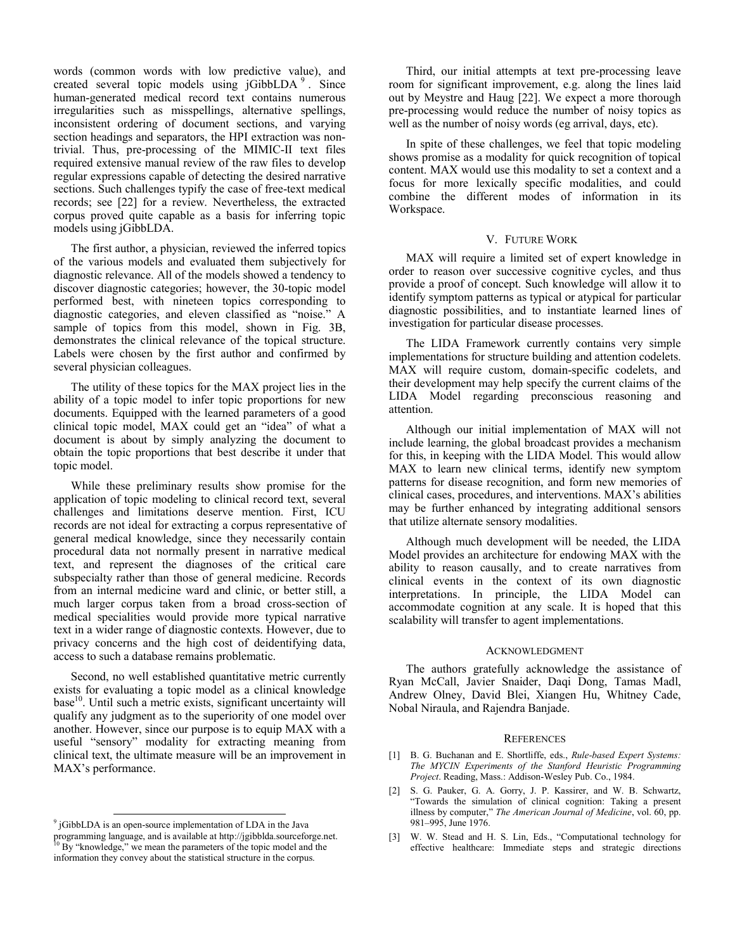words (common words with low predictive value), and created several topic models using jGibbLDA<sup>9</sup>. Since human-generated medical record text contains numerous irregularities such as misspellings, alternative spellings, inconsistent ordering of document sections, and varying section headings and separators, the HPI extraction was nontrivial. Thus, pre-processing of the MIMIC-II text files required extensive manual review of the raw files to develop regular expressions capable of detecting the desired narrative sections. Such challenges typify the case of free-text medical records; see [22] for a review. Nevertheless, the extracted corpus proved quite capable as a basis for inferring topic models using jGibbLDA.

The first author, a physician, reviewed the inferred topics of the various models and evaluated them subjectively for diagnostic relevance. All of the models showed a tendency to discover diagnostic categories; however, the 30-topic model performed best, with nineteen topics corresponding to diagnostic categories, and eleven classified as "noise." A sample of topics from this model, shown in Fig. 3B, demonstrates the clinical relevance of the topical structure. Labels were chosen by the first author and confirmed by several physician colleagues.

The utility of these topics for the MAX project lies in the ability of a topic model to infer topic proportions for new documents. Equipped with the learned parameters of a good clinical topic model, MAX could get an "idea" of what a document is about by simply analyzing the document to obtain the topic proportions that best describe it under that topic model.

While these preliminary results show promise for the application of topic modeling to clinical record text, several challenges and limitations deserve mention. First, ICU records are not ideal for extracting a corpus representative of general medical knowledge, since they necessarily contain procedural data not normally present in narrative medical text, and represent the diagnoses of the critical care subspecialty rather than those of general medicine. Records from an internal medicine ward and clinic, or better still, a much larger corpus taken from a broad cross-section of medical specialities would provide more typical narrative text in a wider range of diagnostic contexts. However, due to privacy concerns and the high cost of deidentifying data, access to such a database remains problematic.

Second, no well established quantitative metric currently exists for evaluating a topic model as a clinical knowledge base<sup>10</sup>. Until such a metric exists, significant uncertainty will qualify any judgment as to the superiority of one model over another. However, since our purpose is to equip MAX with a useful "sensory" modality for extracting meaning from clinical text, the ultimate measure will be an improvement in MAX's performance.

Third, our initial attempts at text pre-processing leave room for significant improvement, e.g. along the lines laid out by Meystre and Haug [22]. We expect a more thorough pre-processing would reduce the number of noisy topics as well as the number of noisy words (eg arrival, days, etc).

In spite of these challenges, we feel that topic modeling shows promise as a modality for quick recognition of topical content. MAX would use this modality to set a context and a focus for more lexically specific modalities, and could combine the different modes of information in its Workspace.

### V. FUTURE WORK

MAX will require a limited set of expert knowledge in order to reason over successive cognitive cycles, and thus provide a proof of concept. Such knowledge will allow it to identify symptom patterns as typical or atypical for particular diagnostic possibilities, and to instantiate learned lines of investigation for particular disease processes.

The LIDA Framework currently contains very simple implementations for structure building and attention codelets. MAX will require custom, domain-specific codelets, and their development may help specify the current claims of the LIDA Model regarding preconscious reasoning and attention.

Although our initial implementation of MAX will not include learning, the global broadcast provides a mechanism for this, in keeping with the LIDA Model. This would allow MAX to learn new clinical terms, identify new symptom patterns for disease recognition, and form new memories of clinical cases, procedures, and interventions. MAX's abilities may be further enhanced by integrating additional sensors that utilize alternate sensory modalities.

Although much development will be needed, the LIDA Model provides an architecture for endowing MAX with the ability to reason causally, and to create narratives from clinical events in the context of its own diagnostic interpretations. In principle, the LIDA Model can accommodate cognition at any scale. It is hoped that this scalability will transfer to agent implementations.

## ACKNOWLEDGMENT

The authors gratefully acknowledge the assistance of Ryan McCall, Javier Snaider, Daqi Dong, Tamas Madl, Andrew Olney, David Blei, Xiangen Hu, Whitney Cade, Nobal Niraula, and Rajendra Banjade.

#### **REFERENCES**

- [1] B. G. Buchanan and E. Shortliffe, eds., *Rule-based Expert Systems: The MYCIN Experiments of the Stanford Heuristic Programming Project*. Reading, Mass.: Addison-Wesley Pub. Co., 1984.
- [2] S. G. Pauker, G. A. Gorry, J. P. Kassirer, and W. B. Schwartz, "Towards the simulation of clinical cognition: Taking a present illness by computer," *The American Journal of Medicine*, vol. 60, pp. 981–995, June 1976.
- [3] W. W. Stead and H. S. Lin, Eds., "Computational technology for effective healthcare: Immediate steps and strategic directions

 <sup>9</sup> jGibbLDA is an open-source implementation of LDA in the Java programming language, and is available at http://jgibblda.sourceforge.net. By "knowledge," we mean the parameters of the topic model and the information they convey about the statistical structure in the corpus.